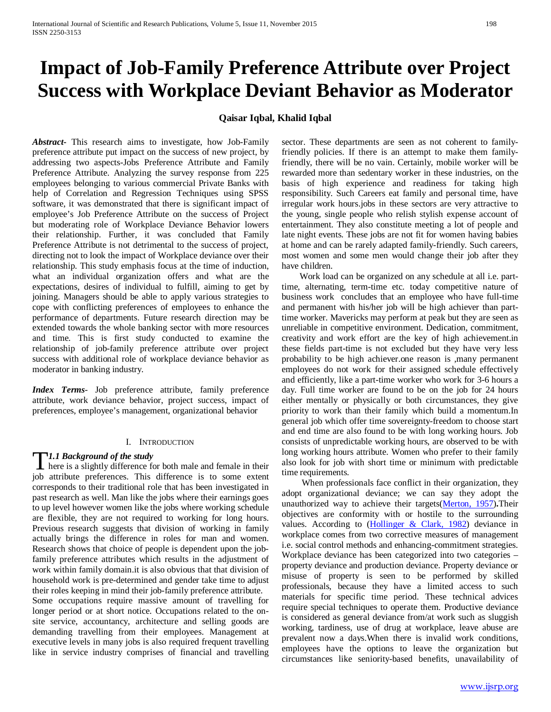# **Impact of Job-Family Preference Attribute over Project Success with Workplace Deviant Behavior as Moderator**

# **Qaisar Iqbal, Khalid Iqbal**

*Abstract***-** This research aims to investigate, how Job-Family preference attribute put impact on the success of new project, by addressing two aspects-Jobs Preference Attribute and Family Preference Attribute. Analyzing the survey response from 225 employees belonging to various commercial Private Banks with help of Correlation and Regression Techniques using SPSS software, it was demonstrated that there is significant impact of employee's Job Preference Attribute on the success of Project but moderating role of Workplace Deviance Behavior lowers their relationship. Further, it was concluded that Family Preference Attribute is not detrimental to the success of project, directing not to look the impact of Workplace deviance over their relationship. This study emphasis focus at the time of induction, what an individual organization offers and what are the expectations, desires of individual to fulfill, aiming to get by joining. Managers should be able to apply various strategies to cope with conflicting preferences of employees to enhance the performance of departments. Future research direction may be extended towards the whole banking sector with more resources and time. This is first study conducted to examine the relationship of job-family preference attribute over project success with additional role of workplace deviance behavior as moderator in banking industry.

*Index Terms*- Job preference attribute, family preference attribute, work deviance behavior, project success, impact of preferences, employee's management, organizational behavior

#### I. INTRODUCTION

# *1.1 Background of the study*

**here** is a slightly difference for both male and female in their job attribute preferences. This difference is to some extent corresponds to their traditional role that has been investigated in past research as well. Man like the jobs where their earnings goes to up level however women like the jobs where working schedule are flexible, they are not required to working for long hours. Previous research suggests that division of working in family actually brings the difference in roles for man and women. Research shows that choice of people is dependent upon the jobfamily preference attributes which results in the adjustment of work within family domain.it is also obvious that that division of household work is pre-determined and gender take time to adjust their roles keeping in mind their job-family preference attribute. Some occupations require massive amount of travelling for longer period or at short notice. Occupations related to the onsite service, accountancy, architecture and selling goods are demanding travelling from their employees. Management at executive levels in many jobs is also required frequent travelling like in service industry comprises of financial and travelling

sector. These departments are seen as not coherent to familyfriendly policies. If there is an attempt to make them familyfriendly, there will be no vain. Certainly, mobile worker will be rewarded more than sedentary worker in these industries, on the basis of high experience and readiness for taking high responsibility. Such Careers eat family and personal time, have irregular work hours.jobs in these sectors are very attractive to the young, single people who relish stylish expense account of entertainment. They also constitute meeting a lot of people and late night events. These jobs are not fit for women having babies at home and can be rarely adapted family-friendly. Such careers, most women and some men would change their job after they have children.

 Work load can be organized on any schedule at all i.e. parttime, alternating, term-time etc. today competitive nature of business work concludes that an employee who have full-time and permanent with his/her job will be high achiever than parttime worker. Mavericks may perform at peak but they are seen as unreliable in competitive environment. Dedication, commitment, creativity and work effort are the key of high achievement.in these fields part-time is not excluded but they have very less probability to be high achiever.one reason is ,many permanent employees do not work for their assigned schedule effectively and efficiently, like a part-time worker who work for 3-6 hours a day. Full time worker are found to be on the job for 24 hours either mentally or physically or both circumstances, they give priority to work than their family which build a momentum.In general job which offer time sovereignty-freedom to choose start and end time are also found to be with long working hours. Job consists of unpredictable working hours, are observed to be with long working hours attribute. Women who prefer to their family also look for job with short time or minimum with predictable time requirements.

 When professionals face conflict in their organization, they adopt organizational deviance; we can say they adopt the unauthorized way to achieve their targets(Merton, 1957)**.**Their objectives are conformity with or hostile to the surrounding values. According to  $(Hollinger & Clark, 1982)$  deviance in workplace comes from two corrective measures of management i.e. social control methods and enhancing-commitment strategies. Workplace deviance has been categorized into two categories – property deviance and production deviance. Property deviance or misuse of property is seen to be performed by skilled professionals, because they have a limited access to such materials for specific time period. These technical advices require special techniques to operate them. Productive deviance is considered as general deviance from/at work such as sluggish working, tardiness, use of drug at workplace, leave abuse are prevalent now a days.When there is invalid work conditions, employees have the options to leave the organization but circumstances like seniority-based benefits, unavailability of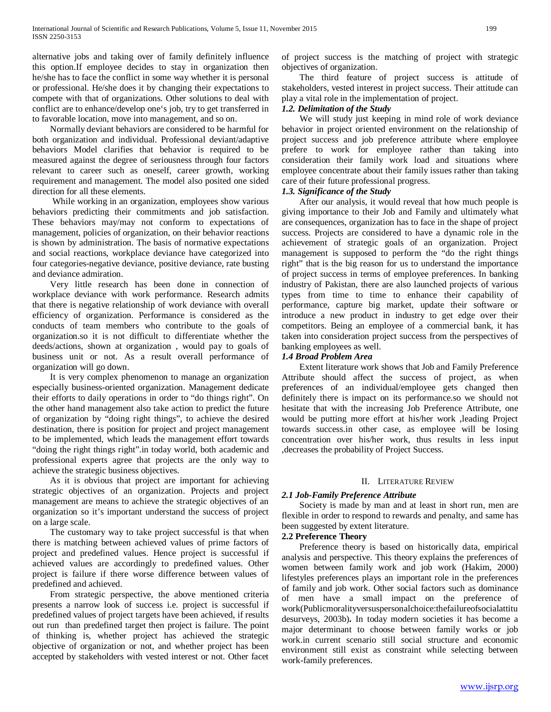alternative jobs and taking over of family definitely influence this option.If employee decides to stay in organization then he/she has to face the conflict in some way whether it is personal or professional. He/she does it by changing their expectations to compete with that of organizations. Other solutions to deal with conflict are to enhance/develop one's job, try to get transferred in to favorable location, move into management, and so on.

 Normally deviant behaviors are considered to be harmful for both organization and individual. Professional deviant/adaptive behaviors Model clarifies that behavior is required to be measured against the degree of seriousness through four factors relevant to career such as oneself, career growth, working requirement and management. The model also posited one sided direction for all these elements.

 While working in an organization, employees show various behaviors predicting their commitments and job satisfaction. These behaviors may/may not conform to expectations of management, policies of organization, on their behavior reactions is shown by administration. The basis of normative expectations and social reactions, workplace deviance have categorized into four categories-negative deviance, positive deviance, rate busting and deviance admiration.

 Very little research has been done in connection of workplace deviance with work performance. Research admits that there is negative relationship of work deviance with overall efficiency of organization. Performance is considered as the conducts of team members who contribute to the goals of organization.so it is not difficult to differentiate whether the deeds/actions, shown at organization , would pay to goals of business unit or not. As a result overall performance of organization will go down.

 It is very complex phenomenon to manage an organization especially business-oriented organization. Management dedicate their efforts to daily operations in order to "do things right". On the other hand management also take action to predict the future of organization by "doing right things", to achieve the desired destination, there is position for project and project management to be implemented, which leads the management effort towards "doing the right things right".in today world, both academic and professional experts agree that projects are the only way to achieve the strategic business objectives.

 As it is obvious that project are important for achieving strategic objectives of an organization. Projects and project management are means to achieve the strategic objectives of an organization so it's important understand the success of project on a large scale.

 The customary way to take project successful is that when there is matching between achieved values of prime factors of project and predefined values. Hence project is successful if achieved values are accordingly to predefined values. Other project is failure if there worse difference between values of predefined and achieved.

 From strategic perspective, the above mentioned criteria presents a narrow look of success i.e. project is successful if predefined values of project targets have been achieved, if results out run than predefined target then project is failure. The point of thinking is, whether project has achieved the strategic objective of organization or not, and whether project has been accepted by stakeholders with vested interest or not. Other facet of project success is the matching of project with strategic objectives of organization.

 The third feature of project success is attitude of stakeholders, vested interest in project success. Their attitude can play a vital role in the implementation of project.

# *1.2. Delimitation of the Study*

 We will study just keeping in mind role of work deviance behavior in project oriented environment on the relationship of project success and job preference attribute where employee prefere to work for employee rather than taking into consideration their family work load and situations where employee concentrate about their family issues rather than taking care of their future professional progress.

# *1.3. Significance of the Study*

 After our analysis, it would reveal that how much people is giving importance to their Job and Family and ultimately what are consequences, organization has to face in the shape of project success. Projects are considered to have a dynamic role in the achievement of strategic goals of an organization. Project management is supposed to perform the "do the right things right" that is the big reason for us to understand the importance of project success in terms of employee preferences. In banking industry of Pakistan, there are also launched projects of various types from time to time to enhance their capability of performance, capture big market, update their software or introduce a new product in industry to get edge over their competitors. Being an employee of a commercial bank, it has taken into consideration project success from the perspectives of banking employees as well.

# *1.4 Broad Problem Area*

 Extent literature work shows that Job and Family Preference Attribute should affect the success of project, as when preferences of an individual/employee gets changed then definitely there is impact on its performance.so we should not hesitate that with the increasing Job Preference Attribute, one would be putting more effort at his/her work ,leading Project towards success.in other case, as employee will be losing concentration over his/her work, thus results in less input ,decreases the probability of Project Success.

# II. LITERATURE REVIEW

# *2.1 Job-Family Preference Attribute*

 Society is made by man and at least in short run, men are flexible in order to respond to rewards and penalty, and same has been suggested by extent literature.

# **2.2 Preference Theory**

 Preference theory is based on historically data, empirical analysis and perspective. This theory explains the preferences of women between family work and job work (Hakim, 2000) lifestyles preferences plays an important role in the preferences of family and job work. Other social factors such as dominance of men have a small impact on the preference of work(Publicmoralityversuspersonalchoice:thefailureofsocialattitu desurveys, 2003b)**.** In today modern societies it has become a major determinant to choose between family works or job work.in current scenario still social structure and economic environment still exist as constraint while selecting between work-family preferences.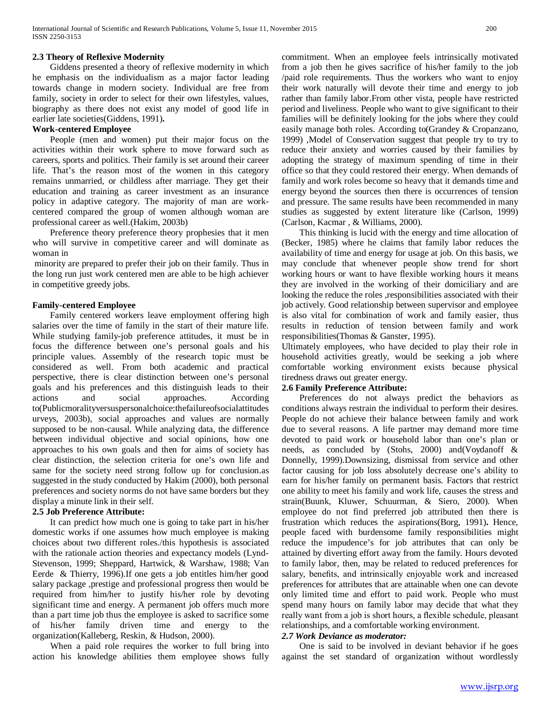# **2.3 Theory of Reflexive Modernity**

 Giddens presented a theory of reflexive modernity in which he emphasis on the individualism as a major factor leading towards change in modern society. Individual are free from family, society in order to select for their own lifestyles, values, biography as there does not exist any model of good life in earlier late societies(Giddens, 1991)**.**

# **Work-centered Employee**

 People (men and women) put their major focus on the activities within their work sphere to move forward such as careers, sports and politics. Their family is set around their career life. That's the reason most of the women in this category remains unmarried, or childless after marriage. They get their education and training as career investment as an insurance policy in adaptive category. The majority of man are workcentered compared the group of women although woman are professional career as well.(Hakim, 2003b)

 Preference theory preference theory prophesies that it men who will survive in competitive career and will dominate as woman in

minority are prepared to prefer their job on their family. Thus in the long run just work centered men are able to be high achiever in competitive greedy jobs.

# **Family-centered Employee**

 Family centered workers leave employment offering high salaries over the time of family in the start of their mature life. While studying family-job preference attitudes, it must be in focus the difference between one's personal goals and his principle values. Assembly of the research topic must be considered as well. From both academic and practical perspective, there is clear distinction between one's personal goals and his preferences and this distinguish leads to their actions and social approaches. According to(Publicmoralityversuspersonalchoice:thefailureofsocialattitudes urveys, 2003b), social approaches and values are normally supposed to be non-causal. While analyzing data, the difference between individual objective and social opinions, how one approaches to his own goals and then for aims of society has clear distinction, the selection criteria for one's own life and same for the society need strong follow up for conclusion.as suggested in the study conducted by Hakim (2000), both personal preferences and society norms do not have same borders but they display a minute link in their self.

# **2.5 Job Preference Attribute:**

 It can predict how much one is going to take part in his/her domestic works if one assumes how much employee is making choices about two different roles./this hypothesis is associated with the rationale action theories and expectancy models (Lynd-Stevenson, 1999; Sheppard, Hartwick, & Warshaw, 1988; Van Eerde & Thierry, 1996).If one gets a job entitles him/her good salary package ,prestige and professional progress then would be required from him/her to justify his/her role by devoting significant time and energy. A permanent job offers much more than a part time job thus the employee is asked to sacrifice some of his/her family driven time and energy to the organization(Kalleberg, Reskin, & Hudson, 2000).

 When a paid role requires the worker to full bring into action his knowledge abilities them employee shows fully commitment. When an employee feels intrinsically motivated from a job then he gives sacrifice of his/her family to the job /paid role requirements. Thus the workers who want to enjoy their work naturally will devote their time and energy to job rather than family labor.From other vista, people have restricted period and liveliness. People who want to give significant to their families will be definitely looking for the jobs where they could easily manage both roles. According to(Grandey & Cropanzano, 1999) ,Model of Conservation suggest that people try to try to reduce their anxiety and worries caused by their families by adopting the strategy of maximum spending of time in their office so that they could restored their energy. When demands of family and work roles become so heavy that it demands time and energy beyond the sources then there is occurrences of tension and pressure. The same results have been recommended in many studies as suggested by extent literature like (Carlson, 1999) (Carlson, Kacmar , & Williams, 2000).

 This thinking is lucid with the energy and time allocation of (Becker, 1985) where he claims that family labor reduces the availability of time and energy for usage at job. On this basis, we may conclude that whenever people show trend for short working hours or want to have flexible working hours it means they are involved in the working of their domiciliary and are looking the reduce the roles ,responsibilities associated with their job actively. Good relationship between supervisor and employee is also vital for combination of work and family easier, thus results in reduction of tension between family and work responsibilities(Thomas & Ganster, 1995).

Ultimately employees, who have decided to play their role in household activities greatly, would be seeking a job where comfortable working environment exists because physical tiredness draws out greater energy.

# **2.6 Family Preference Attribute:**

 Preferences do not always predict the behaviors as conditions always restrain the individual to perform their desires. People do not achieve their balance between family and work due to several reasons. A life partner may demand more time devoted to paid work or household labor than one's plan or needs, as concluded by (Stohs, 2000) and(Voydanoff & Donnelly, 1999).Downsizing, dismissal from service and other factor causing for job loss absolutely decrease one's ability to earn for his/her family on permanent basis. Factors that restrict one ability to meet his family and work life, causes the stress and strain(Buunk, Kluwer, Schuurman, & Siero, 2000). When employee do not find preferred job attributed then there is frustration which reduces the aspirations(Borg, 1991)**.** Hence, people faced with burdensome family responsibilities might reduce the impudence's for job attributes that can only be attained by diverting effort away from the family. Hours devoted to family labor, then, may be related to reduced preferences for salary, benefits, and intrinsically enjoyable work and increased preferences for attributes that are attainable when one can devote only limited time and effort to paid work. People who must spend many hours on family labor may decide that what they really want from a job is short hours, a flexible schedule, pleasant relationships, and a comfortable working environment.

# *2.7 Work Deviance as moderator:*

 One is said to be involved in deviant behavior if he goes against the set standard of organization without wordlessly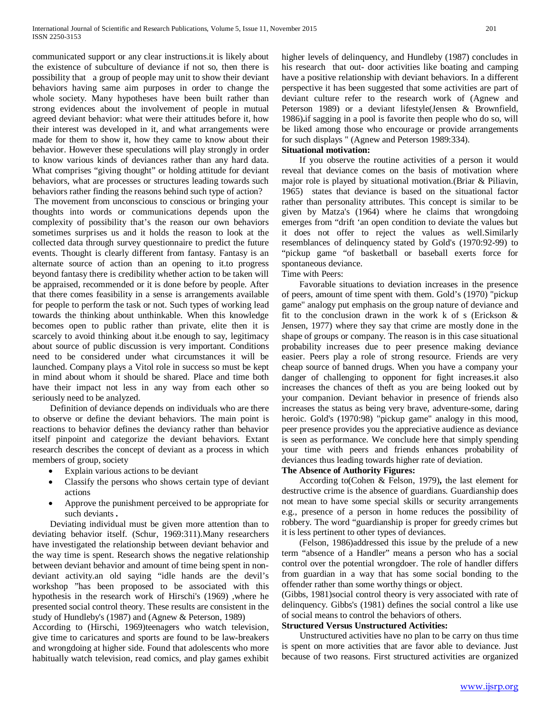communicated support or any clear instructions.it is likely about the existence of subculture of deviance if not so, then there is possibility that a group of people may unit to show their deviant behaviors having same aim purposes in order to change the whole society. Many hypotheses have been built rather than strong evidences about the involvement of people in mutual agreed deviant behavior: what were their attitudes before it, how their interest was developed in it, and what arrangements were made for them to show it, how they came to know about their behavior. However these speculations will play strongly in order to know various kinds of deviances rather than any hard data. What comprises "giving thought" or holding attitude for deviant behaviors, what are processes or structures leading towards such behaviors rather finding the reasons behind such type of action?

The movement from unconscious to conscious or bringing your thoughts into words or communications depends upon the complexity of possibility that's the reason our own behaviors sometimes surprises us and it holds the reason to look at the collected data through survey questionnaire to predict the future events. Thought is clearly different from fantasy. Fantasy is an alternate source of action than an opening to it.to progress beyond fantasy there is credibility whether action to be taken will be appraised, recommended or it is done before by people. After that there comes feasibility in a sense is arrangements available for people to perform the task or not. Such types of working lead towards the thinking about unthinkable. When this knowledge becomes open to public rather than private, elite then it is scarcely to avoid thinking about it.be enough to say, legitimacy about source of public discussion is very important. Conditions need to be considered under what circumstances it will be launched. Company plays a Vitol role in success so must be kept in mind about whom it should be shared. Place and time both have their impact not less in any way from each other so seriously need to be analyzed.

 Definition of deviance depends on individuals who are there to observe or define the deviant behaviors. The main point is reactions to behavior defines the deviancy rather than behavior itself pinpoint and categorize the deviant behaviors. Extant research describes the concept of deviant as a process in which members of group, society

- Explain various actions to be deviant
- Classify the persons who shows certain type of deviant actions
- Approve the punishment perceived to be appropriate for such deviants **.**

 Deviating individual must be given more attention than to deviating behavior itself. (Schur, 1969:311).Many researchers have investigated the relationship between deviant behavior and the way time is spent. Research shows the negative relationship between deviant behavior and amount of time being spent in nondeviant activity.an old saying "idle hands are the devil's workshop "has been proposed to be associated with this hypothesis in the research work of Hirschi's (1969) ,where he presented social control theory. These results are consistent in the study of Hundleby's (1987) and (Agnew & Peterson, 1989)

According to (Hirschi, 1969)teenagers who watch television, give time to caricatures and sports are found to be law-breakers and wrongdoing at higher side. Found that adolescents who more habitually watch television, read comics, and play games exhibit higher levels of delinquency, and Hundleby (1987) concludes in his research that out- door activities like boating and camping have a positive relationship with deviant behaviors. In a different perspective it has been suggested that some activities are part of deviant culture refer to the research work of (Agnew and Peterson 1989) or a deviant lifestyle(Jensen & Brownfield, 1986)**.**if sagging in a pool is favorite then people who do so, will be liked among those who encourage or provide arrangements for such displays " (Agnew and Peterson 1989:334).

## **Situational motivation:**

 If you observe the routine activities of a person it would reveal that deviance comes on the basis of motivation where major role is played by situational motivation.(Briar & Piliavin, 1965) states that deviance is based on the situational factor rather than personality attributes. This concept is similar to be given by Matza's (1964) where he claims that wrongdoing emerges from "drift 'an open condition to deviate the values but it does not offer to reject the values as well.Similarly resemblances of delinquency stated by Gold's (1970:92-99) to "pickup game "of basketball or baseball exerts force for spontaneous deviance.

# Time with Peers:

 Favorable situations to deviation increases in the presence of peers, amount of time spent with them. Gold's (1970) "pickup game" analogy put emphasis on the group nature of deviance and fit to the conclusion drawn in the work k of s (Erickson  $\&$ Jensen, 1977) where they say that crime are mostly done in the shape of groups or company. The reason is in this case situational probability increases due to peer presence making deviance easier. Peers play a role of strong resource. Friends are very cheap source of banned drugs. When you have a company your danger of challenging to opponent for fight increases.it also increases the chances of theft as you are being looked out by your companion. Deviant behavior in presence of friends also increases the status as being very brave, adventure-some, daring heroic. Gold's (1970:98) "pickup game" analogy in this mood, peer presence provides you the appreciative audience as deviance is seen as performance. We conclude here that simply spending your time with peers and friends enhances probability of deviances thus leading towards higher rate of deviation.

# **The Absence of Authority Figures:**

 According to(Cohen & Felson, 1979)**,** the last element for destructive crime is the absence of guardians. Guardianship does not mean to have some special skills or security arrangements e.g., presence of a person in home reduces the possibility of robbery. The word "guardianship is proper for greedy crimes but it is less pertinent to other types of deviances.

 (Felson, 1986)addressed this issue by the prelude of a new term "absence of a Handler" means a person who has a social control over the potential wrongdoer. The role of handler differs from guardian in a way that has some social bonding to the offender rather than some worthy things or object.

(Gibbs, 1981)social control theory is very associated with rate of delinquency. Gibbs's (1981) defines the social control a like use of social means to control the behaviors of others.

## **Structured Versus Unstructured Activities:**

 Unstructured activities have no plan to be carry on thus time is spent on more activities that are favor able to deviance. Just because of two reasons. First structured activities are organized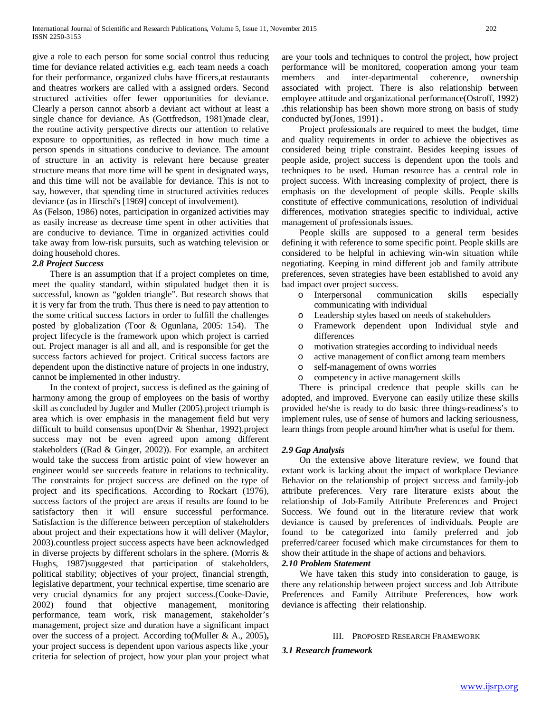give a role to each person for some social control thus reducing time for deviance related activities e.g. each team needs a coach for their performance, organized clubs have fficers,at restaurants and theatres workers are called with a assigned orders. Second structured activities offer fewer opportunities for deviance. Clearly a person cannot absorb a deviant act without at least a single chance for deviance. As (Gottfredson, 1981)made clear, the routine activity perspective directs our attention to relative exposure to opportunities, as reflected in how much time a person spends in situations conducive to deviance. The amount of structure in an activity is relevant here because greater structure means that more time will be spent in designated ways, and this time will not be available for deviance. This is not to say, however, that spending time in structured activities reduces deviance (as in Hirschi's [1969] concept of involvement).

As (Felson, 1986) notes, participation in organized activities may as easily increase as decrease time spent in other activities that are conducive to deviance. Time in organized activities could take away from low-risk pursuits, such as watching television or doing household chores.

#### *2.8 Project Success*

 There is an assumption that if a project completes on time, meet the quality standard, within stipulated budget then it is successful, known as "golden triangle". But research shows that it is very far from the truth. Thus there is need to pay attention to the some critical success factors in order to fulfill the challenges posted by globalization (Toor & Ogunlana, 2005: 154). The project lifecycle is the framework upon which project is carried out. Project manager is all and all, and is responsible for get the success factors achieved for project. Critical success factors are dependent upon the distinctive nature of projects in one industry, cannot be implemented in other industry.

 In the context of project, success is defined as the gaining of harmony among the group of employees on the basis of worthy skill as concluded by Jugder and Muller (2005).project triumph is area which is over emphasis in the management field but very difficult to build consensus upon(Dvir & Shenhar, 1992).project success may not be even agreed upon among different stakeholders ((Rad & Ginger, 2002)). For example, an architect would take the success from artistic point of view however an engineer would see succeeds feature in relations to technicality. The constraints for project success are defined on the type of project and its specifications. According to Rockart (1976), success factors of the project are areas if results are found to be satisfactory then it will ensure successful performance. Satisfaction is the difference between perception of stakeholders about project and their expectations how it will deliver (Maylor, 2003).countless project success aspects have been acknowledged in diverse projects by different scholars in the sphere. (Morris & Hughs, 1987)suggested that participation of stakeholders, political stability; objectives of your project, financial strength, legislative department, your technical expertise, time scenario are very crucial dynamics for any project success.(Cooke-Davie, 2002) found that objective management, monitoring performance, team work, risk management, stakeholder's management, project size and duration have a significant impact over the success of a project. According to(Muller & A., 2005)**,** your project success is dependent upon various aspects like ,your criteria for selection of project, how your plan your project what are your tools and techniques to control the project, how project performance will be monitored, cooperation among your team members and inter-departmental coherence, ownership associated with project. There is also relationship between employee attitude and organizational performance(Ostroff, 1992) **.**this relationship has been shown more strong on basis of study conducted by(Jones, 1991) **.**

 Project professionals are required to meet the budget, time and quality requirements in order to achieve the objectives as considered being triple constraint. Besides keeping issues of people aside, project success is dependent upon the tools and techniques to be used. Human resource has a central role in project success. With increasing complexity of project, there is emphasis on the development of people skills. People skills constitute of effective communications, resolution of individual differences, motivation strategies specific to individual, active management of professionals issues.

 People skills are supposed to a general term besides defining it with reference to some specific point. People skills are considered to be helpful in achieving win-win situation while negotiating. Keeping in mind different job and family attribute preferences, seven strategies have been established to avoid any bad impact over project success.

- o Interpersonal communication skills especially communicating with individual
- o Leadership styles based on needs of stakeholders
- Framework dependent upon Individual style and differences
- o motivation strategies according to individual needs
- o active management of conflict among team members
- o self-management of owns worries
- o competency in active management skills

 There is principal credence that people skills can be adopted, and improved. Everyone can easily utilize these skills provided he/she is ready to do basic three things-readiness's to implement rules, use of sense of humors and lacking seriousness, learn things from people around him/her what is useful for them.

#### *2.9 Gap Analysis*

 On the extensive above literature review, we found that extant work is lacking about the impact of workplace Deviance Behavior on the relationship of project success and family-job attribute preferences. Very rare literature exists about the relationship of Job-Family Attribute Preferences and Project Success. We found out in the literature review that work deviance is caused by preferences of individuals. People are found to be categorized into family preferred and job preferred/career focused which make circumstances for them to show their attitude in the shape of actions and behaviors.

## *2.10 Problem Statement*

 We have taken this study into consideration to gauge, is there any relationship between project success and Job Attribute Preferences and Family Attribute Preferences, how work deviance is affecting their relationship.

#### III. PROPOSED RESEARCH FRAMEWORK

*3.1 Research framework*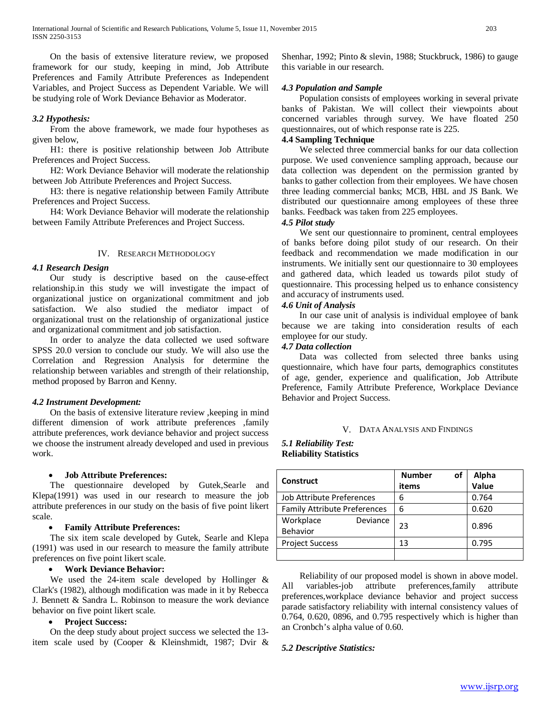On the basis of extensive literature review, we proposed framework for our study, keeping in mind, Job Attribute Preferences and Family Attribute Preferences as Independent Variables, and Project Success as Dependent Variable. We will be studying role of Work Deviance Behavior as Moderator.

## *3.2 Hypothesis:*

 From the above framework, we made four hypotheses as given below,

 H1: there is positive relationship between Job Attribute Preferences and Project Success.

 H2: Work Deviance Behavior will moderate the relationship between Job Attribute Preferences and Project Success.

 H3: there is negative relationship between Family Attribute Preferences and Project Success.

 H4: Work Deviance Behavior will moderate the relationship between Family Attribute Preferences and Project Success.

#### IV. RESEARCH METHODOLOGY

## *4.1 Research Design*

 Our study is descriptive based on the cause-effect relationship.in this study we will investigate the impact of organizational justice on organizational commitment and job satisfaction. We also studied the mediator impact of organizational trust on the relationship of organizational justice and organizational commitment and job satisfaction.

 In order to analyze the data collected we used software SPSS 20.0 version to conclude our study. We will also use the Correlation and Regression Analysis for determine the relationship between variables and strength of their relationship, method proposed by Barron and Kenny.

#### *4.2 Instrument Development:*

 On the basis of extensive literature review ,keeping in mind different dimension of work attribute preferences ,family attribute preferences, work deviance behavior and project success we choose the instrument already developed and used in previous work.

# • **Job Attribute Preferences:**

 The questionnaire developed by Gutek,Searle and Klepa(1991) was used in our research to measure the job attribute preferences in our study on the basis of five point likert scale.

### • **Family Attribute Preferences:**

 The six item scale developed by Gutek, Searle and Klepa (1991) was used in our research to measure the family attribute preferences on five point likert scale.

## • **Work Deviance Behavior:**

 We used the 24-item scale developed by Hollinger & Clark's (1982), although modification was made in it by Rebecca J. Bennett & Sandra L. Robinson to measure the work deviance behavior on five point likert scale.

# • **Project Success:**

 On the deep study about project success we selected the 13 item scale used by (Cooper & Kleinshmidt, 1987; Dvir & Shenhar, 1992; Pinto & slevin, 1988; Stuckbruck, 1986) to gauge this variable in our research.

# *4.3 Population and Sample*

 Population consists of employees working in several private banks of Pakistan. We will collect their viewpoints about concerned variables through survey. We have floated 250 questionnaires, out of which response rate is 225.

# **4.4 Sampling Technique**

 We selected three commercial banks for our data collection purpose. We used convenience sampling approach, because our data collection was dependent on the permission granted by banks to gather collection from their employees. We have chosen three leading commercial banks; MCB, HBL and JS Bank. We distributed our questionnaire among employees of these three banks. Feedback was taken from 225 employees.

# *4.5 Pilot study*

 We sent our questionnaire to prominent, central employees of banks before doing pilot study of our research. On their feedback and recommendation we made modification in our instruments. We initially sent our questionnaire to 30 employees and gathered data, which leaded us towards pilot study of questionnaire. This processing helped us to enhance consistency and accuracy of instruments used.

# *4.6 Unit of Analysis*

 In our case unit of analysis is individual employee of bank because we are taking into consideration results of each employee for our study.

## *4.7 Data collection*

 Data was collected from selected three banks using questionnaire, which have four parts, demographics constitutes of age, gender, experience and qualification, Job Attribute Preference, Family Attribute Preference, Workplace Deviance Behavior and Project Success.

#### V. DATA ANALYSIS AND FINDINGS

# *5.1 Reliability Test:* **Reliability Statistics**

| <b>Construct</b>                    | <b>Number</b><br>οf | Alpha |
|-------------------------------------|---------------------|-------|
|                                     | items               | Value |
| Job Attribute Preferences           | 6                   | 0.764 |
| <b>Family Attribute Preferences</b> | 6                   | 0.620 |
| Workplace<br>Deviance               | 23                  | 0.896 |
| Behavior                            |                     |       |
| <b>Project Success</b>              | 13                  | 0.795 |
|                                     |                     |       |

 Reliability of our proposed model is shown in above model. All variables-job attribute preferences,family attribute preferences,workplace deviance behavior and project success parade satisfactory reliability with internal consistency values of 0.764, 0.620, 0896, and 0.795 respectively which is higher than an Cronbch's alpha value of 0.60.

#### *5.2 Descriptive Statistics:*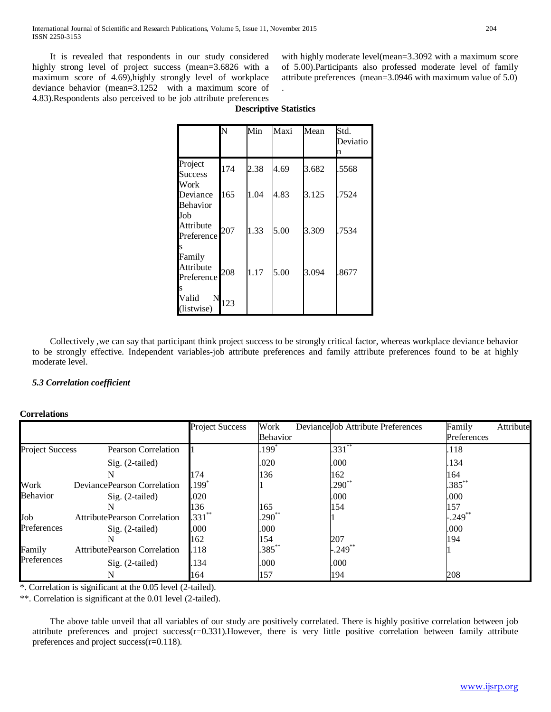It is revealed that respondents in our study considered highly strong level of project success (mean=3.6826 with a maximum score of 4.69),highly strongly level of workplace deviance behavior (mean=3.1252 with a maximum score of 4.83).Respondents also perceived to be job attribute preferences with highly moderate level(mean=3.3092 with a maximum score of 5.00).Participants also professed moderate level of family attribute preferences (mean=3.0946 with maximum value of 5.0) .

|                                    | N   | Min  | Maxi | Mean  | Std.<br>Deviatio<br>n |
|------------------------------------|-----|------|------|-------|-----------------------|
| Project<br><b>Success</b><br>Work  | 174 | 2.38 | 4.69 | 3.682 | .5568                 |
| Deviance<br><b>Behavior</b><br>Job | 165 | 1.04 | 4.83 | 3.125 | .7524                 |
| Attribute<br>Preference<br>S       | 207 | 1.33 | 5.00 | 3.309 | .7534                 |
| Family<br>Attribute<br>Preference  | 208 | 1.17 | 5.00 | 3.094 | .8677                 |
| Valid<br>N<br>(listwise)           | 123 |      |      |       |                       |

# **Descriptive Statistics**

 Collectively ,we can say that participant think project success to be strongly critical factor, whereas workplace deviance behavior to be strongly effective. Independent variables-job attribute preferences and family attribute preferences found to be at highly moderate level.

# *5.3 Correlation coefficient*

# **Correlations**

|                        |                                     | <b>Project Success</b> | Work<br>Behavior | DevianceJob Attribute Preferences | Family<br>Attribute<br>Preferences |
|------------------------|-------------------------------------|------------------------|------------------|-----------------------------------|------------------------------------|
| <b>Project Success</b> | <b>Pearson Correlation</b>          |                        | $199^\circ$      | $.331**$                          | .118                               |
|                        | $Sig. (2-tailed)$                   |                        | .020             | .000                              | .134                               |
|                        | N                                   | 174                    | 136              | 162                               | 164                                |
| Work                   | DeviancePearson Correlation         | .199°                  |                  | $.290^{**}$                       | $.385***$                          |
| <b>Behavior</b>        | Sig. (2-tailed)                     | .020                   |                  | .000                              | .000                               |
|                        | N                                   | 136                    | 165              | 154                               | 157                                |
| Job                    | <b>AttributePearson Correlation</b> | $.331***$              | $.290**$         |                                   | $-.249***$                         |
| Preferences            | $Sig. (2-tailed)$                   | .000                   | .000             |                                   | .000                               |
|                        | N                                   | 162                    | 154              | 207                               | 194                                |
| Family                 | <b>AttributePearson Correlation</b> | .118                   | $.385***$        | $-.249$ <sup>**</sup>             |                                    |
| Preferences            | Sig. (2-tailed)                     | .134                   | .000             | .000                              |                                    |
|                        | N                                   | 164                    | 157              | 194                               | 208                                |

\*. Correlation is significant at the 0.05 level (2-tailed).

\*\*. Correlation is significant at the 0.01 level (2-tailed).

 The above table unveil that all variables of our study are positively correlated. There is highly positive correlation between job attribute preferences and project success(r=0.331).However, there is very little positive correlation between family attribute preferences and project success(r=0.118).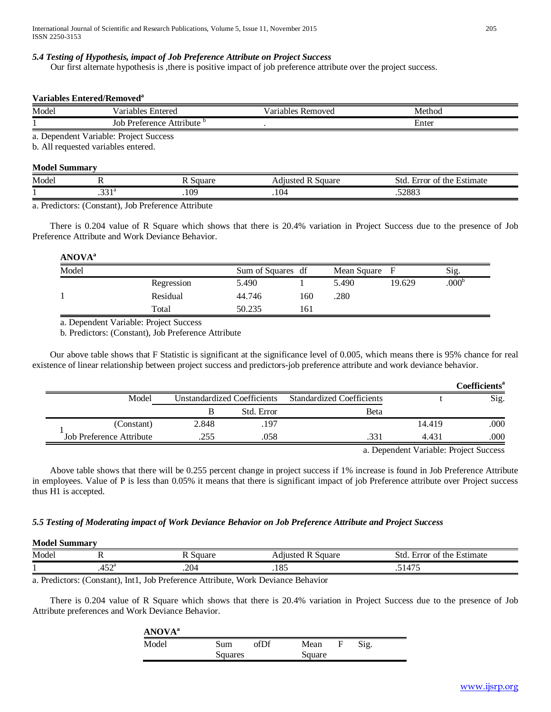## *5.4 Testing of Hypothesis, impact of Job Preference Attribute on Project Success*

Our first alternate hypothesis is ,there is positive impact of job preference attribute over the project success.

#### **Variables Entered/Removeda**

| Model  | - -<br>ariables<br>Entered     | v ariables<br>Removed | Method                            |  |
|--------|--------------------------------|-----------------------|-----------------------------------|--|
| . .    | Attribute<br>Preference<br>Joh |                       | $\overline{\phantom{a}}$<br>Enter |  |
| $\sim$ | .<br>$\sim$<br>$\sim$          |                       |                                   |  |

a. Dependent Variable: Project Success

b. All requested variables entered.

# **Model Summary**

| Model |            | $\alpha$ 11 $\alpha$ r<br>лаг – | Square<br>*1uste. | Std<br>$\mathbf$<br>Estimate<br>the.<br>Ωt<br>Error |
|-------|------------|---------------------------------|-------------------|-----------------------------------------------------|
|       | - -<br>. 1 | $\sim$<br>.102                  | 10 <sup>2</sup>   | .52883                                              |

a. Predictors: (Constant), Job Preference Attribute

 There is 0.204 value of R Square which shows that there is 20.4% variation in Project Success due to the presence of Job Preference Attribute and Work Deviance Behavior.

# **ANOVAa**

| Model |            | Sum of Squares df |     | Mean Square F |        | Sig.              |
|-------|------------|-------------------|-----|---------------|--------|-------------------|
|       | Regression | 5.490             |     | 5.490         | 19.629 | .000 <sup>c</sup> |
|       | Residual   | 44.746            | 160 | .280          |        |                   |
|       | Total      | 50.235            | 161 |               |        |                   |
|       |            |                   |     |               |        |                   |

a. Dependent Variable: Project Success

b. Predictors: (Constant), Job Preference Attribute

 Our above table shows that F Statistic is significant at the significance level of 0.005, which means there is 95% chance for real existence of linear relationship between project success and predictors-job preference attribute and work deviance behavior.

|                          |       |                             |                                  |        | Coefficients <sup>a</sup> |
|--------------------------|-------|-----------------------------|----------------------------------|--------|---------------------------|
| Model                    |       | Unstandardized Coefficients | <b>Standardized Coefficients</b> |        | Sig.                      |
|                          |       | Std. Error                  | <b>B</b> eta                     |        |                           |
| (Constant)               | 2.848 | .197                        |                                  | 14.419 | .000                      |
| Job Preference Attribute | .255  | .058                        | .331                             | 4.431  | .000                      |
|                          |       |                             |                                  |        |                           |

a. Dependent Variable: Project Success

 Above table shows that there will be 0.255 percent change in project success if 1% increase is found in Job Preference Attribute in employees. Value of P is less than 0.05% it means that there is significant impact of job Preference attribute over Project success thus H1 is accepted.

# *5.5 Testing of Moderating impact of Work Deviance Behavior on Job Preference Attribute and Project Success*

# **Model Summary**

| Model | . .                          | auare       | Square<br>'uisteg     | -<br>$\sim$<br>$\mathbf$<br>of the<br>Estimate<br>-std<br>Error<br>. . |
|-------|------------------------------|-------------|-----------------------|------------------------------------------------------------------------|
|       | .50 <sub>a</sub><br>-<br>τυ∠ | ንበ⁄<br>⊢∪∡. | O <sub>4</sub><br>10J | $\overline{1}$<br>$\ddot{\,}$                                          |

a. Predictors: (Constant), Int1, Job Preference Attribute, Work Deviance Behavior

 There is 0.204 value of R Square which shows that there is 20.4% variation in Project Success due to the presence of Job Attribute preferences and Work Deviance Behavior.

| ANOVA <sup>a</sup> |         |      |        |      |
|--------------------|---------|------|--------|------|
| Model              | Sum     | ofDf | Mean   | Sig. |
|                    | Squares |      | Square |      |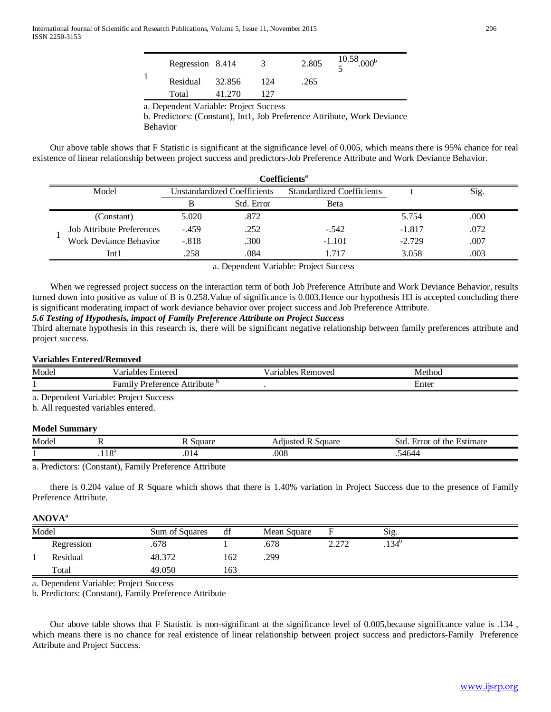| Regression 8.414                      |        | 3   | 2.805 | $\frac{10.58}{5}$ .000 <sup>b</sup> |  |
|---------------------------------------|--------|-----|-------|-------------------------------------|--|
| Residual                              | 32.856 | 124 | .265  |                                     |  |
| Total                                 | 41.270 | 127 |       |                                     |  |
| a Dapandant Variable: Droiget Success |        |     |       |                                     |  |

a. Dependent Variable: Project Success

b. Predictors: (Constant), Int1, Job Preference Attribute, Work Deviance Behavior

 Our above table shows that F Statistic is significant at the significance level of 0.005, which means there is 95% chance for real existence of linear relationship between project success and predictors-Job Preference Attribute and Work Deviance Behavior.

| Coefficients <sup>a</sup>        |                                    |            |                                  |          |      |  |
|----------------------------------|------------------------------------|------------|----------------------------------|----------|------|--|
| Model                            | <b>Unstandardized Coefficients</b> |            | <b>Standardized Coefficients</b> |          | Sig. |  |
|                                  | B                                  | Std. Error | Beta                             |          |      |  |
| (Constant)                       | 5.020                              | .872       |                                  | 5.754    | .000 |  |
| <b>Job Attribute Preferences</b> | $-.459$                            | .252       | $-.542$                          | $-1.817$ | .072 |  |
| Work Deviance Behavior           | $-.818$                            | .300       | $-1.101$                         | $-2.729$ | .007 |  |
| Int 1                            | .258                               | .084       | -717                             | 3.058    | .003 |  |

a. Dependent Variable: Project Success

 When we regressed project success on the interaction term of both Job Preference Attribute and Work Deviance Behavior, results turned down into positive as value of B is 0.258.Value of significance is 0.003.Hence our hypothesis H3 is accepted concluding there is significant moderating impact of work deviance behavior over project success and Job Preference Attribute.

# *5.6 Testing of Hypothesis, impact of Family Preference Attribute on Project Success*

Third alternate hypothesis in this research is, there will be significant negative relationship between family preferences attribute and project success.

# **Variables Entered/Removed**

| Model | /ariables<br>≿ntered                                | / arı<br><b>Removed</b><br>. 1ables | Method |
|-------|-----------------------------------------------------|-------------------------------------|--------|
|       | $\cdot$<br>Attribute<br>ramılu<br><b>Preference</b> |                                     | Enter  |

a. Dependent Variable: Project Success

b. All requested variables entered.

# **Model Summary**

| Model |           | $\alpha$ 11 $\alpha$ r<br>эччаг | square | $\sim$<br>Estimate<br>Stc<br>the<br>uror:<br>ΟĪ |
|-------|-----------|---------------------------------|--------|-------------------------------------------------|
|       | റ<br>.110 | 014                             | .008   | $\sim$                                          |

a. Predictors: (Constant), Family Preference Attribute

 there is 0.204 value of R Square which shows that there is 1.40% variation in Project Success due to the presence of Family Preference Attribute.

# **ANOVAa**

| Model |            | Sum of Squares | df  | Mean Square |                 | $\sim$<br>$\mathrm{S1g}$ . |
|-------|------------|----------------|-----|-------------|-----------------|----------------------------|
|       | Regression | .678           |     | .678        | 2.272<br>4.47 L | .134 <sup>b</sup>          |
|       | Residual   | 48.372         | 162 | .299        |                 |                            |
|       | Total      | 49.050         | 163 |             |                 |                            |

a. Dependent Variable: Project Success

b. Predictors: (Constant), Family Preference Attribute

 Our above table shows that F Statistic is non-significant at the significance level of 0.005,because significance value is .134 , which means there is no chance for real existence of linear relationship between project success and predictors-Family Preference Attribute and Project Success.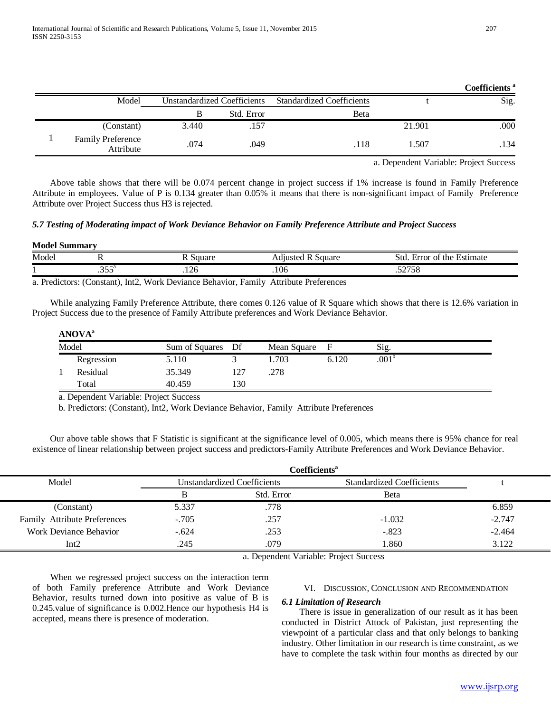|  |                                       |                                    |            |                                  |        | Coefficients <sup>a</sup> |
|--|---------------------------------------|------------------------------------|------------|----------------------------------|--------|---------------------------|
|  | Model                                 | <b>Unstandardized Coefficients</b> |            | <b>Standardized Coefficients</b> |        | Sig.                      |
|  |                                       |                                    | Std. Error | Beta                             |        |                           |
|  | (Constant)                            | 3.440                              | .157       |                                  | 21.901 | .000                      |
|  | <b>Family Preference</b><br>Attribute | .074                               | .049       | .118                             | 1.507  | .134                      |

a. Dependent Variable: Project Success

 Above table shows that there will be 0.074 percent change in project success if 1% increase is found in Family Preference Attribute in employees. Value of P is 0.134 greater than 0.05% it means that there is non-significant impact of Family Preference Attribute over Project Success thus H3 is rejected.

*5.7 Testing of Moderating impact of Work Deviance Behavior on Family Preference Attribute and Project Success*

| <b>Model Summary</b><br><u>experience</u> |                |                   |                        |                              |  |  |  |  |
|-------------------------------------------|----------------|-------------------|------------------------|------------------------------|--|--|--|--|
| Model                                     |                | Square            | l R Square<br>Adjusted | Error of the Estimate<br>Std |  |  |  |  |
|                                           | 25a<br>. J.J.J | $\bigcap$<br>،⊥∠∪ | .106                   | 57758<br>96 ك.ر.             |  |  |  |  |

a. Predictors: (Constant), Int2, Work Deviance Behavior, Family Attribute Preferences

 While analyzing Family Preference Attribute, there comes 0.126 value of R Square which shows that there is 12.6% variation in Project Success due to the presence of Family Attribute preferences and Work Deviance Behavior.

**ANOVAa**

| Model |            | Sum of Squares Df |      | Mean Square | F     | Sig.              |  |
|-------|------------|-------------------|------|-------------|-------|-------------------|--|
|       | Regression | 5.110             |      | 1.703       | 6.120 | .001 <sup>b</sup> |  |
|       | Residual   | 35.349            | ר בו | .278        |       |                   |  |
|       | Total      | 40.459            | l 30 |             |       |                   |  |

a. Dependent Variable: Project Success

b. Predictors: (Constant), Int2, Work Deviance Behavior, Family Attribute Preferences

 Our above table shows that F Statistic is significant at the significance level of 0.005, which means there is 95% chance for real existence of linear relationship between project success and predictors-Family Attribute Preferences and Work Deviance Behavior.

|                              |         | Coefficients <sup>a</sup>          |                                  |          |
|------------------------------|---------|------------------------------------|----------------------------------|----------|
| Model                        |         | <b>Unstandardized Coefficients</b> | <b>Standardized Coefficients</b> |          |
|                              |         | Std. Error                         | <b>B</b> eta                     |          |
| (Constant)                   | 5.337   | .778                               |                                  | 6.859    |
| Family Attribute Preferences | $-.705$ | .257                               | $-1.032$                         | $-2.747$ |
| Work Deviance Behavior       | $-.624$ | .253                               | $-.823$                          | $-2.464$ |
| Int2                         | 245     | .079                               | 1.860                            | 3.122    |

a. Dependent Variable: Project Success

 When we regressed project success on the interaction term of both Family preference Attribute and Work Deviance Behavior, results turned down into positive as value of B is 0.245.value of significance is 0.002.Hence our hypothesis H4 is accepted, means there is presence of moderation.

# VI. DISCUSSION, CONCLUSION AND RECOMMENDATION

## *6.1 Limitation of Research*

 There is issue in generalization of our result as it has been conducted in District Attock of Pakistan, just representing the viewpoint of a particular class and that only belongs to banking industry. Other limitation in our research is time constraint, as we have to complete the task within four months as directed by our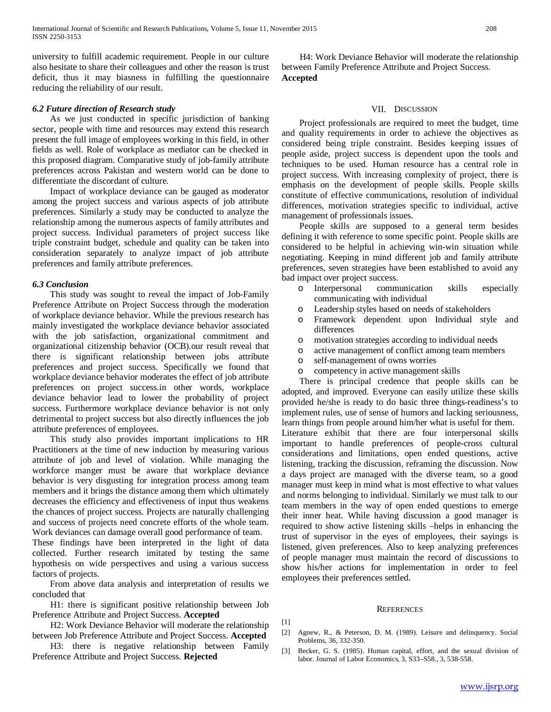university to fulfill academic requirement. People in our culture also hesitate to share their colleagues and other the reason is trust deficit, thus it may biasness in fulfilling the questionnaire reducing the reliability of our result.

#### *6.2 Future direction of Research study*

 As we just conducted in specific jurisdiction of banking sector, people with time and resources may extend this research present the full image of employees working in this field, in other fields as well. Role of workplace as mediator can be checked in this proposed diagram. Comparative study of job-family attribute preferences across Pakistan and western world can be done to differentiate the discordant of culture.

 Impact of workplace deviance can be gauged as moderator among the project success and various aspects of job attribute preferences. Similarly a study may be conducted to analyze the relationship among the numerous aspects of family attributes and project success. Individual parameters of project success like triple constraint budget, schedule and quality can be taken into consideration separately to analyze impact of job attribute preferences and family attribute preferences.

#### *6.3 Conclusion*

 This study was sought to reveal the impact of Job-Family Preference Attribute on Project Success through the moderation of workplace deviance behavior. While the previous research has mainly investigated the workplace deviance behavior associated with the job satisfaction, organizational commitment and organizational citizenship behavior (OCB).our result reveal that there is significant relationship between jobs attribute preferences and project success. Specifically we found that workplace deviance behavior moderates the effect of job attribute preferences on project success.in other words, workplace deviance behavior lead to lower the probability of project success. Furthermore workplace deviance behavior is not only detrimental to project success but also directly influences the job attribute preferences of employees.

 This study also provides important implications to HR Practitioners at the time of new induction by measuring various attribute of job and level of violation. While managing the workforce manger must be aware that workplace deviance behavior is very disgusting for integration process among team members and it brings the distance among them which ultimately decreases the efficiency and effectiveness of input thus weakens the chances of project success. Projects are naturally challenging and success of projects need concrete efforts of the whole team. Work deviances can damage overall good performance of team.

These findings have been interpreted in the light of data collected. Further research imitated by testing the same hypothesis on wide perspectives and using a various success factors of projects.

 From above data analysis and interpretation of results we concluded that

 H1: there is significant positive relationship between Job Preference Attribute and Project Success. **Accepted** 

 H2: Work Deviance Behavior will moderate the relationship between Job Preference Attribute and Project Success. **Accepted**

 H3: there is negative relationship between Family Preference Attribute and Project Success. **Rejected**

 H4: Work Deviance Behavior will moderate the relationship between Family Preference Attribute and Project Success. **Accepted**

#### VII. DISCUSSION

 Project professionals are required to meet the budget, time and quality requirements in order to achieve the objectives as considered being triple constraint. Besides keeping issues of people aside, project success is dependent upon the tools and techniques to be used. Human resource has a central role in project success. With increasing complexity of project, there is emphasis on the development of people skills. People skills constitute of effective communications, resolution of individual differences, motivation strategies specific to individual, active management of professionals issues.

 People skills are supposed to a general term besides defining it with reference to some specific point. People skills are considered to be helpful in achieving win-win situation while negotiating. Keeping in mind different job and family attribute preferences, seven strategies have been established to avoid any bad impact over project success.

- o Interpersonal communication skills especially communicating with individual
- o Leadership styles based on needs of stakeholders
- Framework dependent upon Individual style and differences
- o motivation strategies according to individual needs
- o active management of conflict among team members<br>
o self-management of owns worries
- self-management of owns worries
- o competency in active management skills

 There is principal credence that people skills can be adopted, and improved. Everyone can easily utilize these skills provided he/she is ready to do basic three things-readiness's to implement rules, use of sense of humors and lacking seriousness, learn things from people around him/her what is useful for them.

Literature exhibit that there are four interpersonal skills important to handle preferences of people-cross cultural considerations and limitations, open ended questions, active listening, tracking the discussion, reframing the discussion. Now a days project are managed with the diverse team, so a good manager must keep in mind what is most effective to what values and norms belonging to individual. Similarly we must talk to our team members in the way of open ended questions to emerge their inner heat. While having discussion a good manager is required to show active listening skills –helps in enhancing the trust of supervisor in the eyes of employees, their sayings is listened, given preferences. Also to keep analyzing preferences of people manager must maintain the record of discussions to show his/her actions for implementation in order to feel employees their preferences settled.

#### **REFERENCES**

[1]

- [2] Agnew, R., & Peterson, D. M. (1989). Leisure and delinquency. Social Problems, 36, 332-350.
- [3] Becker, G. S. (1985). Human capital, effort, and the sexual division of labor. Journal of Labor Economics, 3, S33–S58., 3, 538-558.